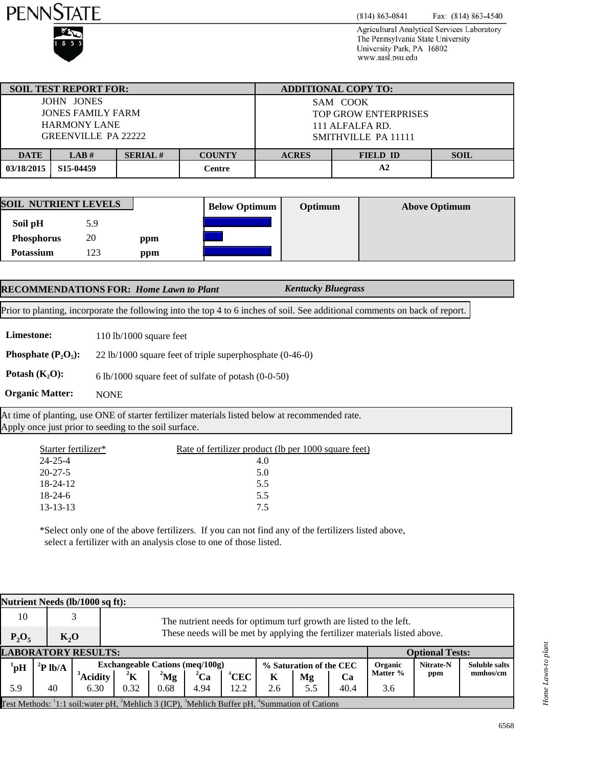



 $(814) 863 - 0841$ Fax: (814) 863-4540

Agricultural Analytical Services Laboratory The Pennsylvania State University University Park, PA 16802 www.aasl.psu.edu

|                                       | <b>SOIL TEST REPORT FOR:</b> |               |                                 | <b>ADDITIONAL COPY TO:</b>  |             |  |  |  |
|---------------------------------------|------------------------------|---------------|---------------------------------|-----------------------------|-------------|--|--|--|
|                                       | JOHN JONES                   |               |                                 | SAM COOK                    |             |  |  |  |
|                                       | JONES FAMILY FARM            |               |                                 | <b>TOP GROW ENTERPRISES</b> |             |  |  |  |
|                                       | <b>HARMONY LANE</b>          |               |                                 | 111 ALFALFA RD.             |             |  |  |  |
| <b>GREENVILLE PA 22222</b>            |                              |               |                                 | SMITHVILLE PA 11111         |             |  |  |  |
|                                       |                              |               |                                 |                             |             |  |  |  |
| <b>SERIAL#</b><br><b>DATE</b><br>LAB# |                              | <b>COUNTY</b> | <b>ACRES</b><br><b>FIELD ID</b> |                             | <b>SOIL</b> |  |  |  |
| 03/18/2015                            | S <sub>15</sub> -04459       |               | Centre                          |                             |             |  |  |  |

| <b>SOIL NUTRIENT LEVELS</b> |     | <b>Below Optimum</b> | Optimum | <b>Above Optimum</b> |  |
|-----------------------------|-----|----------------------|---------|----------------------|--|
| Soil pH                     | 5.9 |                      |         |                      |  |
| <b>Phosphorus</b>           | 20  | ppm                  |         |                      |  |
| Potassium                   | 123 | ppm                  |         |                      |  |

|            | <b>RECOMMENDATIONS FOR: Home Lawn to Plant</b> | <b>Kentucky Bluegrass</b>                                                                                                   |  |
|------------|------------------------------------------------|-----------------------------------------------------------------------------------------------------------------------------|--|
|            |                                                | Prior to planting, incorporate the following into the top 4 to 6 inches of soil. See additional comments on back of report. |  |
| Limestone: | $110$ $\frac{1}{1000}$ square feet             |                                                                                                                             |  |

**Limestone:** 110 lb/1000 square feet

**Phosphate (P<sub>2</sub>O<sub>5</sub>):** 22 lb/1000 square feet of triple superphosphate (0-46-0)

**Potash**  $(K_2O)$ **:** 6 lb/1000 square feet of sulfate of potash (0-0-50)

NONE **Organic Matter:**

At time of planting, use ONE of starter fertilizer materials listed below at recommended rate. Apply once just prior to seeding to the soil surface.

| Starter fertilizer* | Rate of fertilizer product (lb per 1000 square feet) |
|---------------------|------------------------------------------------------|
| $24 - 25 - 4$       | 4.0                                                  |
| $20 - 27 - 5$       | 5.0                                                  |
| $18 - 24 - 12$      | 5.5                                                  |
| $18-24-6$           | 5.5                                                  |
| $13 - 13 - 13$      | 75                                                   |
|                     |                                                      |

\*Select only one of the above fertilizers. If you can not find any of the fertilizers listed above, select a fertilizer with an analysis close to one of those listed.

| Nutrient Needs (lb/1000 sq ft):                                                              |                   |                      |                                                                            |           |             |          |                         |     |      |                |           |                      |
|----------------------------------------------------------------------------------------------|-------------------|----------------------|----------------------------------------------------------------------------|-----------|-------------|----------|-------------------------|-----|------|----------------|-----------|----------------------|
| 10<br>3<br>The nutrient needs for optimum turf growth are listed to the left.                |                   |                      |                                                                            |           |             |          |                         |     |      |                |           |                      |
| $P_2O_5$                                                                                     | K, O              |                      | These needs will be met by applying the fertilizer materials listed above. |           |             |          |                         |     |      |                |           |                      |
| <b>LABORATORY RESULTS:</b><br><b>Optional Tests:</b>                                         |                   |                      |                                                                            |           |             |          |                         |     |      |                |           |                      |
| $^1$ pH                                                                                      | $\mathbf{P}$ lb/A |                      | Exchangeable Cations (meg/100g)                                            |           |             |          | % Saturation of the CEC |     |      | <b>Organic</b> | Nitrate-N | <b>Soluble salts</b> |
|                                                                                              |                   | Acidity <sup>'</sup> | $^2{\rm K}$                                                                | $^{2}$ Mg | ${}^{2}$ Ca | $^4$ CEC | K                       | Mg  | Ca   | Matter %       | ppm       | mmhos/cm             |
| 5.9                                                                                          | 40                | 6.30                 | 0.32                                                                       | 0.68      | 4.94        | 12.2     | 2.6                     | 5.5 | 40.4 | 3.6            |           |                      |
| Test Methods: 1:1 soil: water pH, Mehlich 3 (ICP), 'Mehlich Buffer pH, 'Summation of Cations |                   |                      |                                                                            |           |             |          |                         |     |      |                |           |                      |